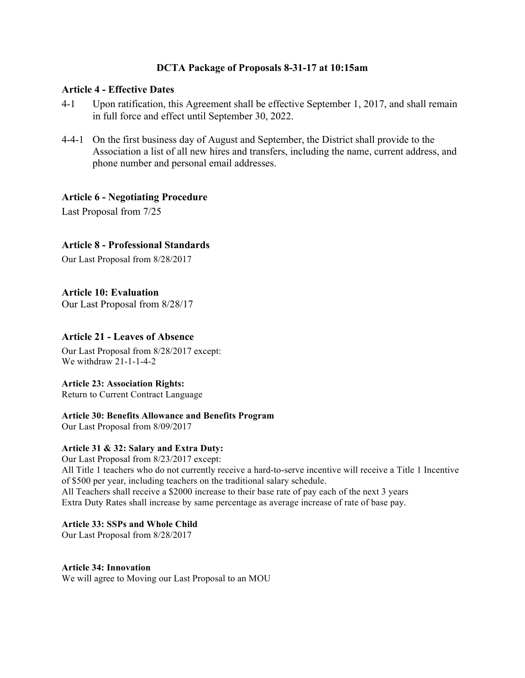## **DCTA Package of Proposals 8-31-17 at 10:15am**

#### **Article 4 - Effective Dates**

- 4-1 Upon ratification, this Agreement shall be effective September 1, 2017, and shall remain in full force and effect until September 30, 2022.
- 4-4-1 On the first business day of August and September, the District shall provide to the Association a list of all new hires and transfers, including the name, current address, and phone number and personal email addresses.

### **Article 6 - Negotiating Procedure**

Last Proposal from 7/25

## **Article 8 - Professional Standards**

Our Last Proposal from 8/28/2017

## **Article 10: Evaluation**

Our Last Proposal from 8/28/17

### **Article 21 - Leaves of Absence**

Our Last Proposal from 8/28/2017 except: We withdraw 21-1-1-4-2

#### **Article 23: Association Rights:**

Return to Current Contract Language

#### **Article 30: Benefits Allowance and Benefits Program**

Our Last Proposal from 8/09/2017

#### **Article 31 & 32: Salary and Extra Duty:**

Our Last Proposal from 8/23/2017 except: All Title 1 teachers who do not currently receive a hard-to-serve incentive will receive a Title 1 Incentive of \$500 per year, including teachers on the traditional salary schedule. All Teachers shall receive a \$2000 increase to their base rate of pay each of the next 3 years Extra Duty Rates shall increase by same percentage as average increase of rate of base pay.

#### **Article 33: SSPs and Whole Child**

Our Last Proposal from 8/28/2017

#### **Article 34: Innovation**

We will agree to Moving our Last Proposal to an MOU